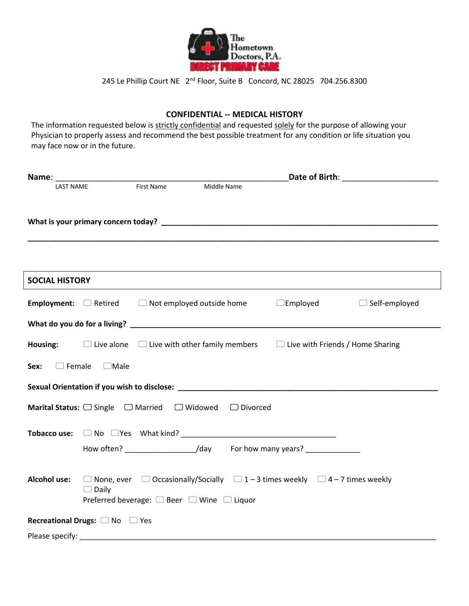

245 Le Phillip Court NE 2<sup>nd</sup> Floor, Suite B Concord, NC 28025 704.256.8300

## **CONFIDENTIAL -- MEDICAL HISTORY**

The information requested below is strictly confidential and requested solely for the purpose of allowing your Physician to properly assess and recommend the best possible treatment for any condition or life situation you may face now or in the future.

| <b>LAST NAME</b>      |                                | First Name | Middle Name                                                                                                                                                   |                      |
|-----------------------|--------------------------------|------------|---------------------------------------------------------------------------------------------------------------------------------------------------------------|----------------------|
|                       |                                |            |                                                                                                                                                               |                      |
|                       |                                |            |                                                                                                                                                               |                      |
|                       |                                |            |                                                                                                                                                               |                      |
|                       |                                |            |                                                                                                                                                               |                      |
| <b>SOCIAL HISTORY</b> |                                |            |                                                                                                                                                               |                      |
|                       |                                |            | <b>Employment:</b> $\Box$ Retired $\Box$ Not employed outside home $\Box$ Employed                                                                            | $\Box$ Self-employed |
|                       |                                |            |                                                                                                                                                               |                      |
|                       |                                |            | <b>Housing:</b> $\Box$ Live alone $\Box$ Live with other family members $\Box$ Live with Friends / Home Sharing                                               |                      |
| Sex:<br>$\Box$ Female | $\Box$ Male                    |            |                                                                                                                                                               |                      |
|                       |                                |            |                                                                                                                                                               |                      |
|                       |                                |            | Marital Status: □ Single □ Married □ Widowed □ Divorced                                                                                                       |                      |
|                       |                                |            |                                                                                                                                                               |                      |
|                       |                                |            | How often? ______________________/day For how many years? ________________                                                                                    |                      |
|                       | $\Box$ Daily                   |            | Alcohol use: $\Box$ None, ever $\Box$ Occasionally/Socially $\Box$ 1 – 3 times weekly $\Box$ 4 – 7 times weekly<br>Preferred beverage: □ Beer □ Wine □ Liquor |                      |
|                       | Recreational Drugs: □ No □ Yes |            |                                                                                                                                                               |                      |
| Please specify: _____ |                                |            |                                                                                                                                                               |                      |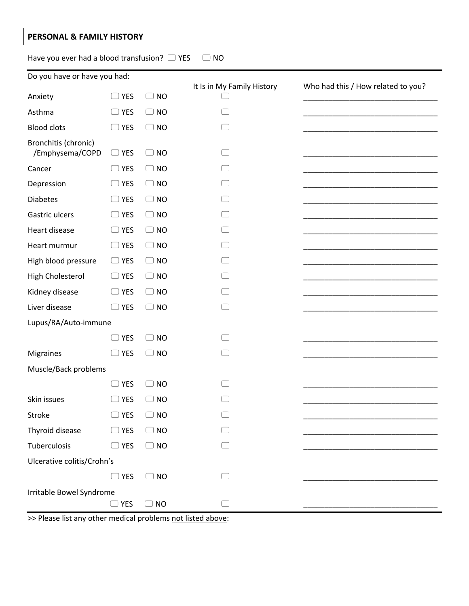## **PERSONAL & FAMILY HISTORY**

Have you ever had a blood transfusion?  $\Box$  YES  $\Box$  NO

| Do you have or have you had:            |               |                                     | It Is in My Family History | Who had this / How related to you? |  |
|-----------------------------------------|---------------|-------------------------------------|----------------------------|------------------------------------|--|
| Anxiety                                 | $\Box$ YES    | $\Box$ NO                           |                            |                                    |  |
| Asthma                                  | $\Box$ YES    | $\Box$ NO                           |                            |                                    |  |
| <b>Blood clots</b>                      | $\Box$ YES    | <b>NO</b><br>$\left( \quad \right)$ |                            |                                    |  |
| Bronchitis (chronic)<br>/Emphysema/COPD | $\Box$ YES    | <b>NO</b><br>$\Box$                 |                            |                                    |  |
| Cancer                                  | $\Box$ YES    | $\Box$ NO                           |                            |                                    |  |
| Depression                              | $\supset$ YES | $\Box$ NO                           |                            |                                    |  |
| <b>Diabetes</b>                         | $\supset$ YES | $\Box$ NO                           |                            |                                    |  |
| Gastric ulcers                          | $\Box$ YES    | $\Box$ NO                           |                            |                                    |  |
| Heart disease                           | $\Box$ YES    | $\Box$ NO                           |                            |                                    |  |
| Heart murmur                            | $\Box$ YES    | $\Box$ NO                           |                            |                                    |  |
| High blood pressure                     | $\Box$ YES    | <b>NO</b><br>$\left( \quad \right)$ |                            |                                    |  |
| High Cholesterol                        | $\Box$ YES    | $\Box$ NO                           |                            |                                    |  |
| Kidney disease                          | $\Box$ YES    | $\Box$ NO                           |                            |                                    |  |
| Liver disease                           | $\supset$ YES | $\Box$ NO                           |                            |                                    |  |
| Lupus/RA/Auto-immune                    |               |                                     |                            |                                    |  |
|                                         | $\supset$ YES | $\Box$ NO                           |                            |                                    |  |
| <b>Migraines</b>                        | <b>YES</b>    | <b>NO</b><br>$\left( \quad \right)$ |                            |                                    |  |
| Muscle/Back problems                    |               |                                     |                            |                                    |  |
|                                         | $\Box$ YES    | $\Box$ NO                           |                            |                                    |  |
| Skin issues                             | <b>YES</b>    | <b>NO</b>                           |                            |                                    |  |
| Stroke                                  | $\Box$ YES    | $\Box$ NO                           |                            |                                    |  |
| Thyroid disease                         | $\Box$ YES    | $\Box$ NO                           |                            |                                    |  |
| Tuberculosis                            | $\Box$ YES    | $\Box$ NO                           |                            |                                    |  |
| Ulcerative colitis/Crohn's              |               |                                     |                            |                                    |  |
|                                         | $\Box$ YES    | <b>NO</b>                           |                            |                                    |  |
| Irritable Bowel Syndrome                | $\Box$ YES    | $\Box$ NO                           |                            |                                    |  |
|                                         |               |                                     |                            |                                    |  |

>> Please list any other medical problems not listed above: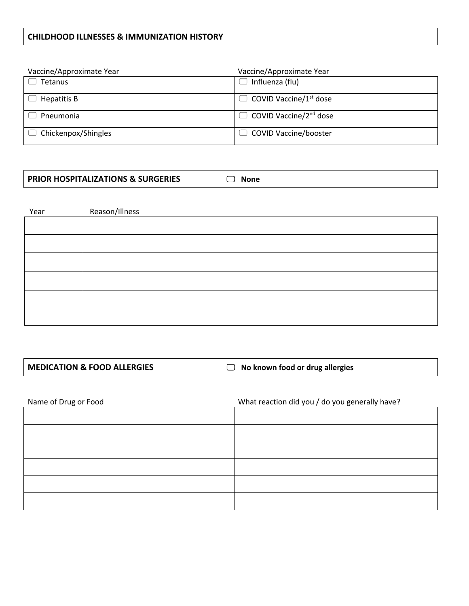## **CHILDHOOD ILLNESSES & IMMUNIZATION HISTORY**

| Vaccine/Approximate Year | Vaccine/Approximate Year           |
|--------------------------|------------------------------------|
| Tetanus                  | Influenza (flu)                    |
| Hepatitis B              | COVID Vaccine/1 <sup>st</sup> dose |
| Pneumonia                | COVID Vaccine/2 <sup>nd</sup> dose |
| Chickenpox/Shingles      | <b>COVID Vaccine/booster</b>       |

| <b>PRIOR HOSPITALIZATIONS &amp; SURGERIES</b><br>None |
|-------------------------------------------------------|
|-------------------------------------------------------|

| Year | Reason/Illness |
|------|----------------|
|      |                |
|      |                |
|      |                |
|      |                |
|      |                |
|      |                |
|      |                |

**MEDICATION & FOOD ALLERGIES** △ No known food or drug allergies

| Name of Drug or Food | What reaction did you / do you generally have? |
|----------------------|------------------------------------------------|
|                      |                                                |
|                      |                                                |
|                      |                                                |
|                      |                                                |
|                      |                                                |
|                      |                                                |
|                      |                                                |